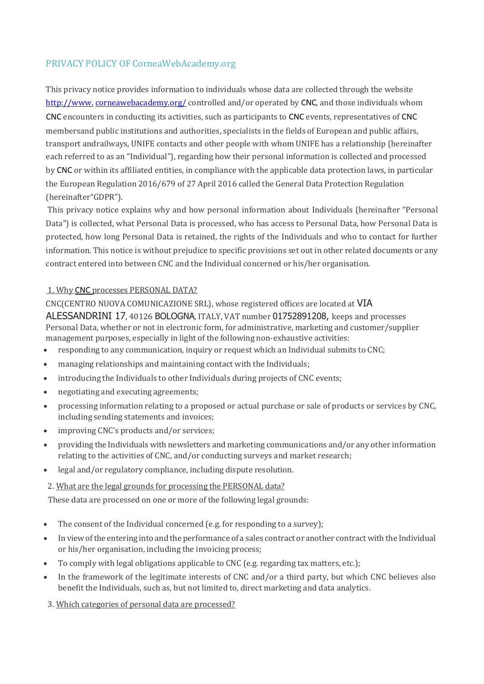# PRIVACY POLICY OF CorneaWebAcademy.org

This privacy notice provides information to individuals whose data are collected through the website http://www.[corneawebacademy.org/](http://www.transit-prj.eu/) controlled and/or operated by CNC, and those individuals whom CNC encounters in conducting its activities, such as participants to CNC events, representatives of CNC membersand public institutions and authorities, specialists in the fields of European and public affairs, transport andrailways, UNIFE contacts and other people with whom UNIFE has a relationship (hereinafter each referred to as an "Individual"), regarding how their personal information is collected and processed by CNC or within its affiliated entities, in compliance with the applicable data protection laws, in particular the European Regulation 2016/679 of 27 April 2016 called the General Data Protection Regulation (hereinafter"GDPR").

This privacy notice explains why and how personal information about Individuals (hereinafter "Personal Data") is collected, what Personal Data is processed, who has access to Personal Data, how Personal Data is protected, how long Personal Data is retained, the rights of the Individuals and who to contact for further information. This notice is without prejudice to specific provisions set out in other related documents or any contract entered into between CNC and the Individual concerned or his/her organisation.

### 1. Why CNC processes PERSONAL DATA?

#### CNC(CENTRO NUOVA COMUNICAZIONE SRL), whose registered offices are located at VIA

ALESSANDRINI 17, 40126 BOLOGNA, ITALY, VAT number 01752891208, keeps and processes Personal Data, whether or not in electronic form, for administrative, marketing and customer/supplier management purposes, especially in light of the following non-exhaustive activities:

- responding to any communication, inquiry or request which an Individual submits to CNC;
- managing relationships and maintaining contact with the Individuals;
- introducing the Individuals to other Individuals during projects of CNC events;
- negotiating and executing agreements;
- processing information relating to a proposed or actual purchase or sale of products or services by CNC, including sending statements and invoices;
- improving CNC's products and/or services;
- providing the Individuals with newsletters and marketing communications and/or any other information relating to the activities of CNC, and/or conducting surveys and market research;
- legal and/or regulatory compliance, including dispute resolution.

#### 2. What are the legal grounds for processing the PERSONAL data?

These data are processed on one or more of the following legal grounds:

- The consent of the Individual concerned (e.g. for responding to a survey);
- In viewofthe entering into and the performance of a sales contract or another contract with the Individual or his/her organisation, including the invoicing process;
- To comply with legal obligations applicable to CNC (e.g. regarding tax matters, etc.);
- In the framework of the legitimate interests of CNC and/or a third party, but which CNC believes also benefit the Individuals, such as, but not limited to, direct marketing and data analytics.

# 3. Which categories of personal data are processed?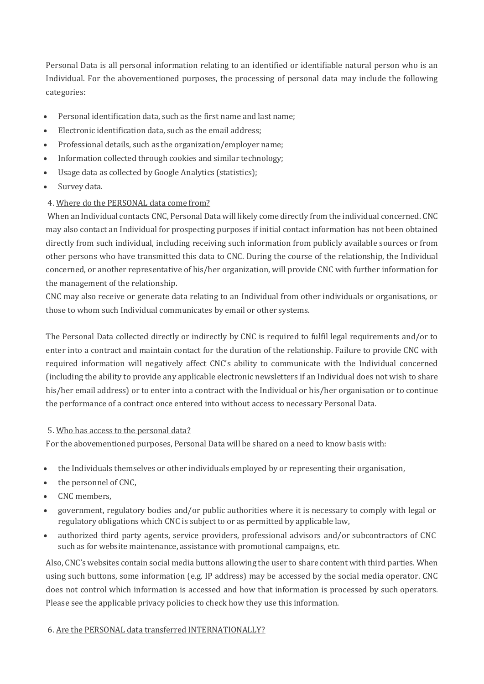Personal Data is all personal information relating to an identified or identifiable natural person who is an Individual. For the abovementioned purposes, the processing of personal data may include the following categories:

- Personal identification data, such as the first name and last name;
- Electronic identification data, such as the email address;
- Professional details, such as the organization/employer name;
- Information collected through cookies and similar technology;
- Usage data as collected by Google Analytics (statistics);
- Survey data.

#### 4. Where do the PERSONAL data come from?

When an Individual contacts CNC, Personal Data will likely come directly from the individual concerned. CNC may also contact an Individual for prospecting purposes if initial contact information has not been obtained directly from such individual, including receiving such information from publicly available sources or from other persons who have transmitted this data to CNC. During the course of the relationship, the Individual concerned, or another representative of his/her organization, will provide CNC with further information for the management of the relationship.

CNC may also receive or generate data relating to an Individual from other individuals or organisations, or those to whom such Individual communicates by email or other systems.

The Personal Data collected directly or indirectly by CNC is required to fulfil legal requirements and/or to enter into a contract and maintain contact for the duration of the relationship. Failure to provide CNC with required information will negatively affect CNC's ability to communicate with the Individual concerned (including the ability to provide any applicable electronic newsletters if an Individual does not wish to share his/her email address) or to enter into a contract with the Individual or his/her organisation or to continue the performance of a contract once entered into without access to necessary Personal Data.

#### 5. Who has access to the personal data?

For the abovementioned purposes, Personal Data will be shared on a need to know basis with:

- the Individuals themselves or other individuals employed by or representing their organisation,
- the personnel of CNC,
- CNC members,
- government, regulatory bodies and/or public authorities where it is necessary to comply with legal or regulatory obligations which CNC is subject to or as permitted by applicable law,
- authorized third party agents, service providers, professional advisors and/or subcontractors of CNC such as for website maintenance, assistance with promotional campaigns, etc.

Also, CNC's websites contain social media buttons allowing the user to share content with third parties. When using such buttons, some information (e.g. IP address) may be accessed by the social media operator. CNC does not control which information is accessed and how that information is processed by such operators. Please see the applicable privacy policies to check how they use this information.

#### 6. Are the PERSONAL data transferred INTERNATIONALLY?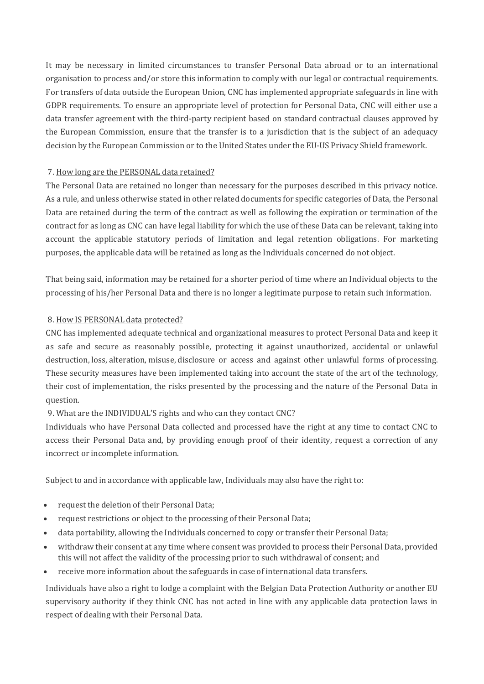It may be necessary in limited circumstances to transfer Personal Data abroad or to an international organisation to process and/or store this information to comply with our legal or contractual requirements. For transfers of data outside the European Union, CNC has implemented appropriate safeguards in line with GDPR requirements. To ensure an appropriate level of protection for Personal Data, CNC will either use a data transfer agreement with the third-party recipient based on standard contractual clauses approved by the European Commission, ensure that the transfer is to a jurisdiction that is the subject of an adequacy decision by the European Commission or to the United States under the EU-US Privacy Shield framework.

### 7. How long are the PERSONAL data retained?

The Personal Data are retained no longer than necessary for the purposes described in this privacy notice. As a rule, and unless otherwise stated in other related documents for specific categories of Data, the Personal Data are retained during the term of the contract as well as following the expiration or termination of the contract for as long as CNC can have legal liability for which the use of these Data can be relevant, taking into account the applicable statutory periods of limitation and legal retention obligations. For marketing purposes, the applicable data will be retained as long as the Individuals concerned do not object.

That being said, information may be retained for a shorter period of time where an Individual objects to the processing of his/her Personal Data and there is no longer a legitimate purpose to retain such information.

### 8. How IS PERSONAL data protected?

CNC has implemented adequate technical and organizational measures to protect Personal Data and keep it as safe and secure as reasonably possible, protecting it against unauthorized, accidental or unlawful destruction, loss, alteration, misuse, disclosure or access and against other unlawful forms of processing. These security measures have been implemented taking into account the state of the art of the technology, their cost of implementation, the risks presented by the processing and the nature of the Personal Data in question.

# 9. What are the INDIVIDUAL'S rights and who can they contact CNC?

Individuals who have Personal Data collected and processed have the right at any time to contact CNC to access their Personal Data and, by providing enough proof of their identity, request a correction of any incorrect or incomplete information.

Subject to and in accordance with applicable law, Individuals may also have the right to:

- request the deletion of their Personal Data;
- request restrictions or object to the processing of their Personal Data;
- data portability, allowing the Individuals concerned to copy or transfer their Personal Data;
- withdraw their consent at any time where consent was provided to process their Personal Data, provided this will not affect the validity of the processing prior to such withdrawal of consent; and
- receive more information about the safeguards in case of international data transfers.

Individuals have also a right to lodge a complaint with the Belgian Data Protection Authority or another EU supervisory authority if they think CNC has not acted in line with any applicable data protection laws in respect of dealing with their Personal Data.